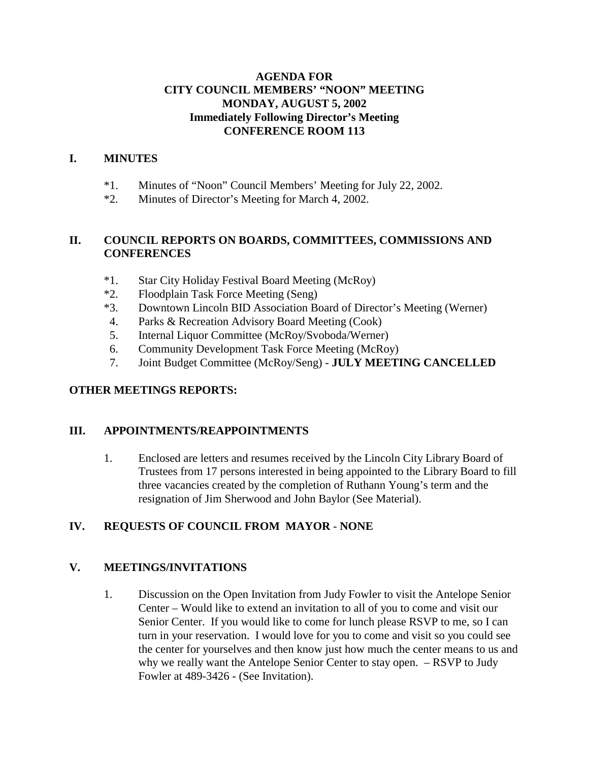## **AGENDA FOR CITY COUNCIL MEMBERS' "NOON" MEETING MONDAY, AUGUST 5, 2002 Immediately Following Director's Meeting CONFERENCE ROOM 113**

## **I. MINUTES**

- \*1. Minutes of "Noon" Council Members' Meeting for July 22, 2002.
- \*2. Minutes of Director's Meeting for March 4, 2002.

## **II. COUNCIL REPORTS ON BOARDS, COMMITTEES, COMMISSIONS AND CONFERENCES**

- \*1. Star City Holiday Festival Board Meeting (McRoy)
- \*2. Floodplain Task Force Meeting (Seng)
- \*3. Downtown Lincoln BID Association Board of Director's Meeting (Werner)
- 4. Parks & Recreation Advisory Board Meeting (Cook)
- 5. Internal Liquor Committee (McRoy/Svoboda/Werner)
- 6. Community Development Task Force Meeting (McRoy)
- 7. Joint Budget Committee (McRoy/Seng) **JULY MEETING CANCELLED**

## **OTHER MEETINGS REPORTS:**

# **III. APPOINTMENTS/REAPPOINTMENTS**

1. Enclosed are letters and resumes received by the Lincoln City Library Board of Trustees from 17 persons interested in being appointed to the Library Board to fill three vacancies created by the completion of Ruthann Young's term and the resignation of Jim Sherwood and John Baylor (See Material).

# **IV. REQUESTS OF COUNCIL FROM MAYOR** - **NONE**

## **V. MEETINGS/INVITATIONS**

1. Discussion on the Open Invitation from Judy Fowler to visit the Antelope Senior Center – Would like to extend an invitation to all of you to come and visit our Senior Center. If you would like to come for lunch please RSVP to me, so I can turn in your reservation. I would love for you to come and visit so you could see the center for yourselves and then know just how much the center means to us and why we really want the Antelope Senior Center to stay open. – RSVP to Judy Fowler at 489-3426 - (See Invitation).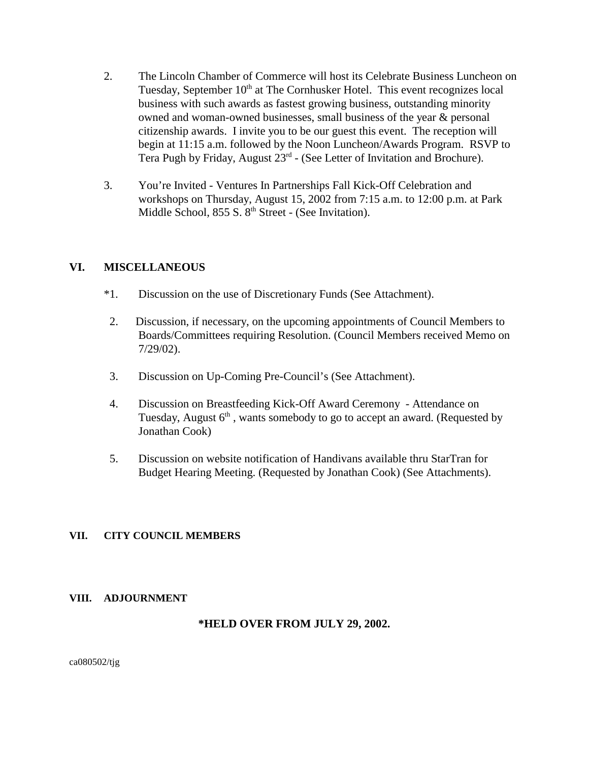- 2. The Lincoln Chamber of Commerce will host its Celebrate Business Luncheon on Tuesday, September  $10<sup>th</sup>$  at The Cornhusker Hotel. This event recognizes local business with such awards as fastest growing business, outstanding minority owned and woman-owned businesses, small business of the year & personal citizenship awards. I invite you to be our guest this event. The reception will begin at 11:15 a.m. followed by the Noon Luncheon/Awards Program. RSVP to Tera Pugh by Friday, August  $23<sup>rd</sup>$  - (See Letter of Invitation and Brochure).
- 3. You're Invited Ventures In Partnerships Fall Kick-Off Celebration and workshops on Thursday, August 15, 2002 from 7:15 a.m. to 12:00 p.m. at Park Middle School, 855 S. 8<sup>th</sup> Street - (See Invitation).

## **VI. MISCELLANEOUS**

- \*1. Discussion on the use of Discretionary Funds (See Attachment).
- 2. Discussion, if necessary, on the upcoming appointments of Council Members to Boards/Committees requiring Resolution. (Council Members received Memo on 7/29/02).
- 3. Discussion on Up-Coming Pre-Council's (See Attachment).
- 4. Discussion on Breastfeeding Kick-Off Award Ceremony Attendance on Tuesday, August  $6<sup>th</sup>$ , wants somebody to go to accept an award. (Requested by Jonathan Cook)
- 5. Discussion on website notification of Handivans available thru StarTran for Budget Hearing Meeting. (Requested by Jonathan Cook) (See Attachments).

#### **VII. CITY COUNCIL MEMBERS**

#### **VIII. ADJOURNMENT**

## **\*HELD OVER FROM JULY 29, 2002.**

ca080502/tjg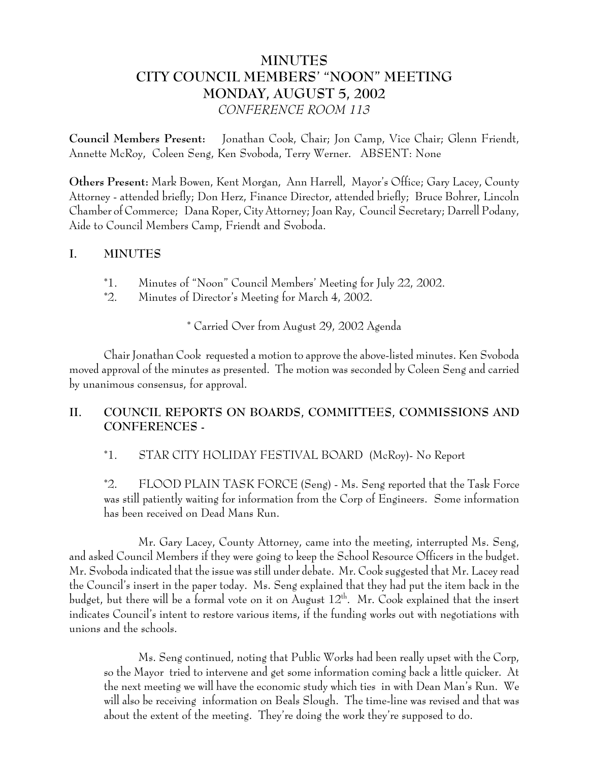# **MINUTES CITY COUNCIL MEMBERS' "NOON" MEETING MONDAY, AUGUST 5, 2002** *CONFERENCE ROOM 113*

**Council Members Present:** Jonathan Cook, Chair; Jon Camp, Vice Chair; Glenn Friendt, Annette McRoy, Coleen Seng, Ken Svoboda, Terry Werner. ABSENT: None

**Others Present:** Mark Bowen, Kent Morgan, Ann Harrell, Mayor's Office; Gary Lacey, County Attorney - attended briefly; Don Herz, Finance Director, attended briefly; Bruce Bohrer, Lincoln Chamber of Commerce; Dana Roper, City Attorney; Joan Ray, Council Secretary; Darrell Podany, Aide to Council Members Camp, Friendt and Svoboda.

## **I. MINUTES**

- \*1. Minutes of "Noon" Council Members' Meeting for July 22, 2002.
- \*2. Minutes of Director's Meeting for March 4, 2002.

\* Carried Over from August 29, 2002 Agenda

Chair Jonathan Cook requested a motion to approve the above-listed minutes. Ken Svoboda moved approval of the minutes as presented. The motion was seconded by Coleen Seng and carried by unanimous consensus, for approval.

# **II. COUNCIL REPORTS ON BOARDS, COMMITTEES, COMMISSIONS AND CONFERENCES -**

\*1. STAR CITY HOLIDAY FESTIVAL BOARD (McRoy)- No Report

\*2. FLOOD PLAIN TASK FORCE (Seng) - Ms. Seng reported that the Task Force was still patiently waiting for information from the Corp of Engineers. Some information has been received on Dead Mans Run.

Mr. Gary Lacey, County Attorney, came into the meeting, interrupted Ms. Seng, and asked Council Members if they were going to keep the School Resource Officers in the budget. Mr. Svoboda indicated that the issue was still under debate. Mr. Cook suggested that Mr. Lacey read the Council's insert in the paper today. Ms. Seng explained that they had put the item back in the budget, but there will be a formal vote on it on August  $12<sup>th</sup>$ . Mr. Cook explained that the insert indicates Council's intent to restore various items, if the funding works out with negotiations with unions and the schools.

Ms. Seng continued, noting that Public Works had been really upset with the Corp, so the Mayor tried to intervene and get some information coming back a little quicker. At the next meeting we will have the economic study which ties in with Dean Man's Run. We will also be receiving information on Beals Slough. The time-line was revised and that was about the extent of the meeting. They're doing the work they're supposed to do.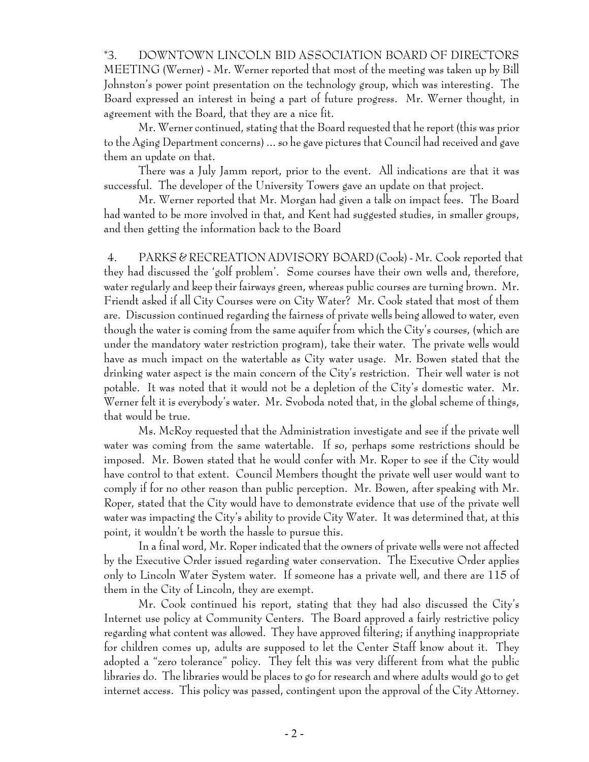\*3. DOWNTOWN LINCOLN BID ASSOCIATION BOARD OF DIRECTORS MEETING (Werner) - Mr. Werner reported that most of the meeting was taken up by Bill Johnston's power point presentation on the technology group, which was interesting. The Board expressed an interest in being a part of future progress. Mr. Werner thought, in agreement with the Board, that they are a nice fit.

Mr. Werner continued, stating that the Board requested that he report (this was prior to the Aging Department concerns) ... so he gave pictures that Council had received and gave them an update on that.

There was a July Jamm report, prior to the event. All indications are that it was successful. The developer of the University Towers gave an update on that project.

Mr. Werner reported that Mr. Morgan had given a talk on impact fees. The Board had wanted to be more involved in that, and Kent had suggested studies, in smaller groups, and then getting the information back to the Board

4. PARKS & RECREATION ADVISORY BOARD (Cook) - Mr. Cook reported that they had discussed the 'golf problem'. Some courses have their own wells and, therefore, water regularly and keep their fairways green, whereas public courses are turning brown. Mr. Friendt asked if all City Courses were on City Water? Mr. Cook stated that most of them are. Discussion continued regarding the fairness of private wells being allowed to water, even though the water is coming from the same aquifer from which the City's courses, (which are under the mandatory water restriction program), take their water. The private wells would have as much impact on the watertable as City water usage. Mr. Bowen stated that the drinking water aspect is the main concern of the City's restriction. Their well water is not potable. It was noted that it would not be a depletion of the City's domestic water. Mr. Werner felt it is everybody's water. Mr. Svoboda noted that, in the global scheme of things, that would be true.

Ms. McRoy requested that the Administration investigate and see if the private well water was coming from the same watertable. If so, perhaps some restrictions should be imposed. Mr. Bowen stated that he would confer with Mr. Roper to see if the City would have control to that extent. Council Members thought the private well user would want to comply if for no other reason than public perception. Mr. Bowen, after speaking with Mr. Roper, stated that the City would have to demonstrate evidence that use of the private well water was impacting the City's ability to provide City Water. It was determined that, at this point, it wouldn't be worth the hassle to pursue this.

In a final word, Mr. Roper indicated that the owners of private wells were not affected by the Executive Order issued regarding water conservation. The Executive Order applies only to Lincoln Water System water. If someone has a private well, and there are 115 of them in the City of Lincoln, they are exempt.

Mr. Cook continued his report, stating that they had also discussed the City's Internet use policy at Community Centers. The Board approved a fairly restrictive policy regarding what content was allowed. They have approved filtering; if anything inappropriate for children comes up, adults are supposed to let the Center Staff know about it. They adopted a "zero tolerance" policy. They felt this was very different from what the public libraries do. The libraries would be places to go for research and where adults would go to get internet access. This policy was passed, contingent upon the approval of the City Attorney.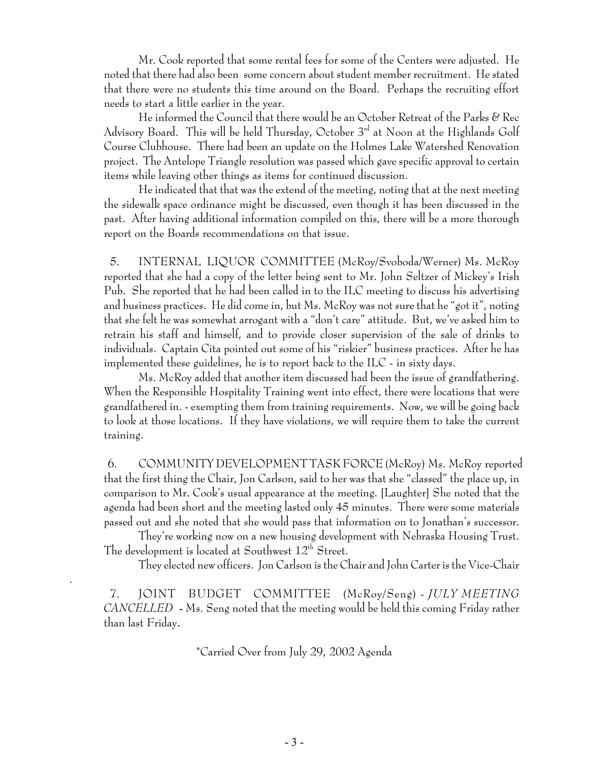Mr. Cook reported that some rental fees for some of the Centers were adjusted. He noted that there had also been some concern about student member recruitment. He stated that there were no students this time around on the Board. Perhaps the recruiting effort needs to start a little earlier in the year.

He informed the Council that there would be an October Retreat of the Parks & Rec Advisory Board. This will be held Thursday, October 3rd at Noon at the Highlands Golf Course Clubhouse. There had been an update on the Holmes Lake Watershed Renovation project. The Antelope Triangle resolution was passed which gave specific approval to certain items while leaving other things as items for continued discussion.

He indicated that that was the extend of the meeting, noting that at the next meeting the sidewalk space ordinance might be discussed, even though it has been discussed in the past. After having additional information compiled on this, there will be a more thorough report on the Boards recommendations on that issue.

 5. INTERNAL LIQUOR COMMITTEE (McRoy/Svoboda/Werner) Ms. McRoy reported that she had a copy of the letter being sent to Mr. John Seltzer of Mickey's Irish Pub. She reported that he had been called in to the ILC meeting to discuss his advertising and business practices. He did come in, but Ms. McRoy was not sure that he "got it", noting that she felt he was somewhat arrogant with a "don't care" attitude. But, we've asked him to retrain his staff and himself, and to provide closer supervision of the sale of drinks to individuals. Captain Cita pointed out some of his "riskier" business practices. After he has implemented these guidelines, he is to report back to the ILC - in sixty days.

Ms. McRoy added that another item discussed had been the issue of grandfathering. When the Responsible Hospitality Training went into effect, there were locations that were grandfathered in. - exempting them from training requirements. Now, we will be going back to look at those locations. If they have violations, we will require them to take the current training.

 6. COMMUNITY DEVELOPMENT TASK FORCE (McRoy) Ms. McRoy reported that the first thing the Chair, Jon Carlson, said to her was that she "classed" the place up, in comparison to Mr. Cook's usual appearance at the meeting. [Laughter] She noted that the agenda had been short and the meeting lasted only 45 minutes. There were some materials passed out and she noted that she would pass that information on to Jonathan's successor.

They're working now on a new housing development with Nebraska Housing Trust. The development is located at Southwest  $12<sup>th</sup>$  Street.

They elected new officers. Jon Carlson is the Chair and John Carter is the Vice-Chair

 7. JOINT BUDGET COMMITTEE (McRoy/Seng) - *JULY MEETING CANCELLED* **-** Ms. Seng noted that the meeting would be held this coming Friday rather than last Friday**.**

\*Carried Over from July 29, 2002 Agenda

.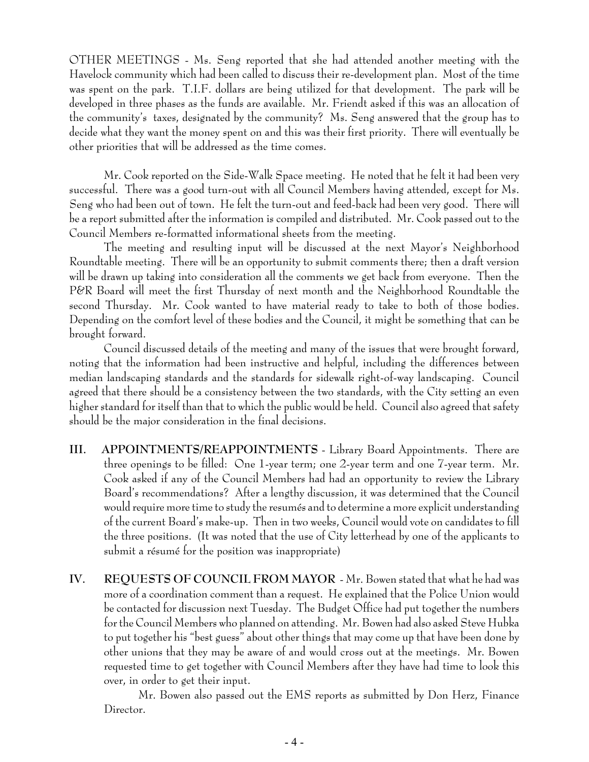OTHER MEETINGS - Ms. Seng reported that she had attended another meeting with the Havelock community which had been called to discuss their re-development plan. Most of the time was spent on the park. T.I.F. dollars are being utilized for that development. The park will be developed in three phases as the funds are available. Mr. Friendt asked if this was an allocation of the community's taxes, designated by the community? Ms. Seng answered that the group has to decide what they want the money spent on and this was their first priority. There will eventually be other priorities that will be addressed as the time comes.

Mr. Cook reported on the Side-Walk Space meeting. He noted that he felt it had been very successful. There was a good turn-out with all Council Members having attended, except for Ms. Seng who had been out of town. He felt the turn-out and feed-back had been very good. There will be a report submitted after the information is compiled and distributed. Mr. Cook passed out to the Council Members re-formatted informational sheets from the meeting.

The meeting and resulting input will be discussed at the next Mayor's Neighborhood Roundtable meeting. There will be an opportunity to submit comments there; then a draft version will be drawn up taking into consideration all the comments we get back from everyone. Then the P&R Board will meet the first Thursday of next month and the Neighborhood Roundtable the second Thursday. Mr. Cook wanted to have material ready to take to both of those bodies. Depending on the comfort level of these bodies and the Council, it might be something that can be brought forward.

Council discussed details of the meeting and many of the issues that were brought forward, noting that the information had been instructive and helpful, including the differences between median landscaping standards and the standards for sidewalk right-of-way landscaping. Council agreed that there should be a consistency between the two standards, with the City setting an even higher standard for itself than that to which the public would be held. Council also agreed that safety should be the major consideration in the final decisions.

- **III. APPOINTMENTS/REAPPOINTMENTS** Library Board Appointments. There are three openings to be filled: One 1-year term; one 2-year term and one 7-year term. Mr. Cook asked if any of the Council Members had had an opportunity to review the Library Board's recommendations? After a lengthy discussion, it was determined that the Council would require more time to study the resumés and to determine a more explicit understanding of the current Board's make-up. Then in two weeks, Council would vote on candidates to fill the three positions. (It was noted that the use of City letterhead by one of the applicants to submit a résumé for the position was inappropriate)
- **IV. REQUESTS OF COUNCIL FROM MAYOR** Mr. Bowen stated that what he had was more of a coordination comment than a request. He explained that the Police Union would be contacted for discussion next Tuesday. The Budget Office had put together the numbers for the Council Members who planned on attending. Mr. Bowen had also asked Steve Hubka to put together his "best guess" about other things that may come up that have been done by other unions that they may be aware of and would cross out at the meetings. Mr. Bowen requested time to get together with Council Members after they have had time to look this over, in order to get their input.

Mr. Bowen also passed out the EMS reports as submitted by Don Herz, Finance Director.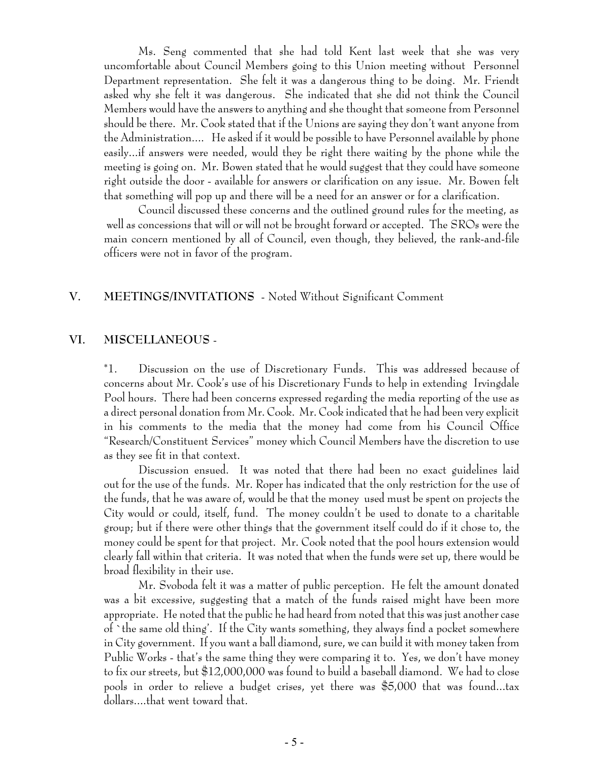Ms. Seng commented that she had told Kent last week that she was very uncomfortable about Council Members going to this Union meeting without Personnel Department representation. She felt it was a dangerous thing to be doing. Mr. Friendt asked why she felt it was dangerous. She indicated that she did not think the Council Members would have the answers to anything and she thought that someone from Personnel should be there. Mr. Cook stated that if the Unions are saying they don't want anyone from the Administration.... He asked if it would be possible to have Personnel available by phone easily...if answers were needed, would they be right there waiting by the phone while the meeting is going on. Mr. Bowen stated that he would suggest that they could have someone right outside the door - available for answers or clarification on any issue. Mr. Bowen felt that something will pop up and there will be a need for an answer or for a clarification.

Council discussed these concerns and the outlined ground rules for the meeting, as well as concessions that will or will not be brought forward or accepted. The SROs were the main concern mentioned by all of Council, even though, they believed, the rank-and-file officers were not in favor of the program.

## **V. MEETINGS/INVITATIONS** - Noted Without Significant Comment

## **VI. MISCELLANEOUS** -

\*1. Discussion on the use of Discretionary Funds. This was addressed because of concerns about Mr. Cook's use of his Discretionary Funds to help in extending Irvingdale Pool hours. There had been concerns expressed regarding the media reporting of the use as a direct personal donation from Mr. Cook. Mr. Cook indicated that he had been very explicit in his comments to the media that the money had come from his Council Office "Research/Constituent Services" money which Council Members have the discretion to use as they see fit in that context.

Discussion ensued. It was noted that there had been no exact guidelines laid out for the use of the funds. Mr. Roper has indicated that the only restriction for the use of the funds, that he was aware of, would be that the money used must be spent on projects the City would or could, itself, fund. The money couldn't be used to donate to a charitable group; but if there were other things that the government itself could do if it chose to, the money could be spent for that project. Mr. Cook noted that the pool hours extension would clearly fall within that criteria. It was noted that when the funds were set up, there would be broad flexibility in their use.

Mr. Svoboda felt it was a matter of public perception. He felt the amount donated was a bit excessive, suggesting that a match of the funds raised might have been more appropriate. He noted that the public he had heard from noted that this was just another case of `the same old thing'. If the City wants something, they always find a pocket somewhere in City government. If you want a ball diamond, sure, we can build it with money taken from Public Works - that's the same thing they were comparing it to. Yes, we don't have money to fix our streets, but \$12,000,000 was found to build a baseball diamond. We had to close pools in order to relieve a budget crises, yet there was \$5,000 that was found...tax dollars....that went toward that.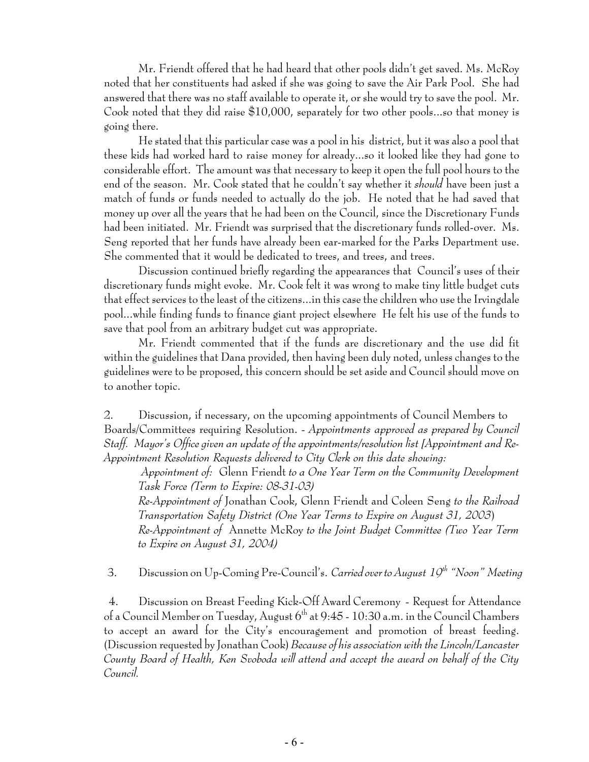Mr. Friendt offered that he had heard that other pools didn't get saved. Ms. McRoy noted that her constituents had asked if she was going to save the Air Park Pool. She had answered that there was no staff available to operate it, or she would try to save the pool. Mr. Cook noted that they did raise \$10,000, separately for two other pools...so that money is going there.

He stated that this particular case was a pool in his district, but it was also a pool that these kids had worked hard to raise money for already...so it looked like they had gone to considerable effort. The amount was that necessary to keep it open the full pool hours to the end of the season. Mr. Cook stated that he couldn't say whether it *should* have been just a match of funds or funds needed to actually do the job. He noted that he had saved that money up over all the years that he had been on the Council, since the Discretionary Funds had been initiated. Mr. Friendt was surprised that the discretionary funds rolled-over. Ms. Seng reported that her funds have already been ear-marked for the Parks Department use. She commented that it would be dedicated to trees, and trees, and trees.

Discussion continued briefly regarding the appearances that Council's uses of their discretionary funds might evoke. Mr. Cook felt it was wrong to make tiny little budget cuts that effect services to the least of the citizens...in this case the children who use the Irvingdale pool...while finding funds to finance giant project elsewhere He felt his use of the funds to save that pool from an arbitrary budget cut was appropriate.

Mr. Friendt commented that if the funds are discretionary and the use did fit within the guidelines that Dana provided, then having been duly noted, unless changes to the guidelines were to be proposed, this concern should be set aside and Council should move on to another topic.

 2. Discussion, if necessary, on the upcoming appointments of Council Members to Boards/Committees requiring Resolution. - *Appointments approved as prepared by Council Staff. Mayor's Office given an update of the appointments/resolution list [Appointment and Re-Appointment Resolution Requests delivered to City Clerk on this date showing:*

 *Appointment of:* Glenn Friendt *to a One Year Term on the Community Development Task Force (Term to Expire: 08-31-03)*

*Re-Appointment of* Jonathan Cook, Glenn Friendt and Coleen Seng *to the Railroad Transportation Safety District (One Year Terms to Expire on August 31, 2003*)

*Re-Appointment of* Annette McRoy *to the Joint Budget Committee (Two Year Term to Expire on August 31, 2004)*

3. Discussion on Up-Coming Pre-Council's. *Carried over to August 19th "Noon" Meeting*

 4. Discussion on Breast Feeding Kick-Off Award Ceremony - Request for Attendance of a Council Member on Tuesday, August  $6<sup>th</sup>$  at 9:45 - 10:30 a.m. in the Council Chambers to accept an award for the City's encouragement and promotion of breast feeding. (Discussion requested by Jonathan Cook) *Because of his association with the Lincoln/Lancaster County Board of Health, Ken Svoboda will attend and accept the award on behalf of the City Council.*